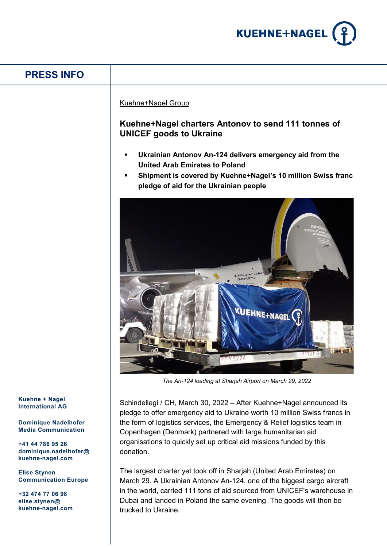

## **PRESS INFO**

## Kuehne+Nagel Group

## **Kuehne+Nagel charters Antonov to send 111 tonnes of UNICEF goods to Ukraine**

- **Ukrainian Antonov An-124 delivers emergency aid from the United Arab Emirates to Poland**
- **Shipment is covered by Kuehne+Nagel's 10 million Swiss franc pledge of aid for the Ukrainian people**



*The An-124 loading at Sharjah Airport on March 29, 2022*

Schindellegi / CH, March 30, 2022 – After Kuehne+Nagel announced its pledge to offer emergency aid to Ukraine worth 10 million Swiss francs in the form of logistics services, the Emergency & Relief logistics team in Copenhagen (Denmark) partnered with large humanitarian aid organisations to quickly set up critical aid missions funded by this donation.

The largest charter yet took off in Sharjah (United Arab Emirates) on March 29. A Ukrainian Antonov An-124, one of the biggest cargo aircraft in the world, carried 111 tons of aid sourced from UNICEF's warehouse in Dubai and landed in Poland the same evening. The goods will then be trucked to Ukraine.

**Kuehne + Nagel International AG**

**Dominique Nadelhofer Media Communication**

**+41 44 786 95 26 dominique.nadelhofer@ kuehne-nagel.com**

**Elise Stynen Communication Europe**

**+32 474 77 06 98 elise.stynen@ kuehne-nagel.com**